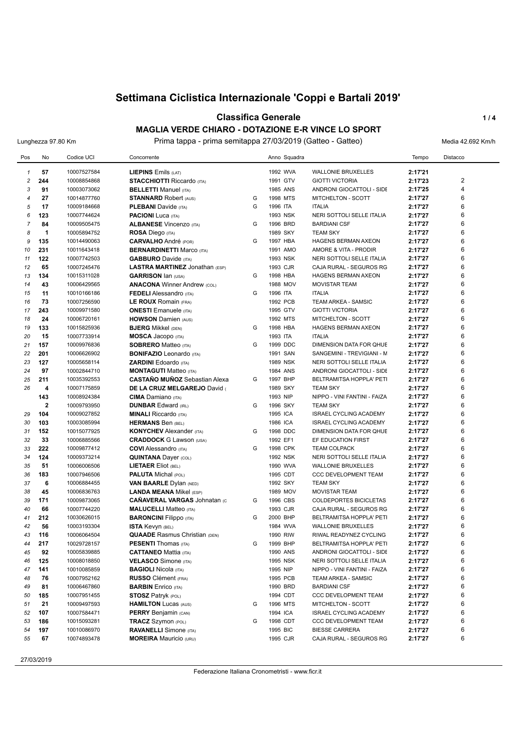## **Classifica Generale 1/4 MAGLIA VERDE CHIARO - DOTAZIONE E-R VINCE LO SPORT**

Lunghezza 97.80 Km **Prima tappa - prima semitappa 27/03/2019 (Gatteo - Gatteo)** Media 42.692 Km/h

| Pos            | No                  | Codice UCI                 | Concorrente                                                           |   | Anno Squadra         |                                                         | Tempo              | Distacco |
|----------------|---------------------|----------------------------|-----------------------------------------------------------------------|---|----------------------|---------------------------------------------------------|--------------------|----------|
| $\mathbf{1}$   | 57                  | 10007527584                | LIEPINS Emils (LAT)                                                   |   | 1992 WVA             | <b>WALLONIE BRUXELLES</b>                               | 2:17'21            |          |
| $\overline{c}$ | 244                 | 10008854868                | <b>STACCHIOTTI Riccardo (ITA)</b>                                     |   | 1991 GTV             | <b>GIOTTI VICTORIA</b>                                  | 2:17'23            | 2        |
| 3              | 91                  | 10003073062                | <b>BELLETTI Manuel (ITA)</b>                                          |   | 1985 ANS             | ANDRONI GIOCATTOLI - SIDE                               | 2:17'25            | 4        |
| $\overline{4}$ | 27                  | 10014877760                | <b>STANNARD Robert (AUS)</b>                                          | G | 1998 MTS             | MITCHELTON - SCOTT                                      | 2:17'27            | 6        |
| 5              | 17                  | 10009184668                | <b>PLEBANI</b> Davide (ITA)                                           | G | 1996 ITA             | <b>ITALIA</b>                                           | 2:17'27            | 6        |
| 6              | 123                 | 10007744624                | <b>PACIONI</b> Luca (ITA)                                             |   | 1993 NSK             | NERI SOTTOLI SELLE ITALIA                               | 2:17'27            | 6        |
| $\overline{7}$ | 84                  | 10009505475                | <b>ALBANESE Vincenzo (ITA)</b>                                        | G | 1996 BRD             | <b>BARDIANI CSF</b>                                     | 2:17'27            | 6        |
| 8              | $\mathbf 1$         | 10005894752                | <b>ROSA Diego (ITA)</b>                                               |   | 1989 SKY             | <b>TEAM SKY</b>                                         | 2:17'27            | 6        |
| 9              | 135                 | 10014490063                | <b>CARVALHO</b> André (POR)                                           | G | 1997 HBA             | HAGENS BERMAN AXEON                                     | 2:17'27            | 6        |
| 10             | 231                 | 10011643418                | <b>BERNARDINETTI Marco (ITA)</b>                                      |   | 1991 AMO             | AMORE & VITA - PRODIR                                   | 2:17'27            | 6        |
| 11             | 122                 | 10007742503                | <b>GABBURO</b> Davide (ITA)                                           |   | 1993 NSK             | NERI SOTTOLI SELLE ITALIA                               | 2:17'27            | 6        |
| 12             | 65                  | 10007245476                | <b>LASTRA MARTINEZ Jonathan (ESP)</b>                                 |   | 1993 CJR             | CAJA RURAL - SEGUROS RG                                 | 2:17'27            | 6        |
| 13             | 134                 | 10015311028                | <b>GARRISON Ian (USA)</b>                                             | G | 1998 HBA             | HAGENS BERMAN AXEON                                     | 2:17'27            | 6        |
| 14             | 43                  | 10006429565                | <b>ANACONA Winner Andrew (COL)</b>                                    |   | 1988 MOV             | <b>MOVISTAR TEAM</b>                                    | 2:17'27            | 6        |
| 15             | 11                  | 10010166186                | <b>FEDELI</b> Alessandro (ITA)                                        | G | 1996 ITA             | <b>ITALIA</b>                                           | 2:17'27            | 6        |
| 16             | 73                  | 10007256590                | LE ROUX Romain (FRA)                                                  |   | 1992 PCB             | TEAM ARKEA - SAMSIC                                     | 2:17'27            | 6        |
| 17             | 243                 | 10009971580                | <b>ONESTI</b> Emanuele (ITA)                                          |   | 1995 GTV             | <b>GIOTTI VICTORIA</b>                                  | 2:17'27            | 6        |
| 18             | 24                  | 10006720161                | <b>HOWSON Damien (AUS)</b>                                            |   | 1992 MTS             | MITCHELTON - SCOTT                                      | 2:17'27            | 6        |
| 19             | 133                 | 10015825936                | <b>BJERG</b> Mikkel (DEN)                                             | G | 1998 HBA             | <b>HAGENS BERMAN AXEON</b>                              | 2:17'27            | 6        |
| 20             | 15                  | 10007733914                | <b>MOSCA Jacopo</b> (ITA)                                             |   | 1993 ITA             | <b>ITALIA</b>                                           | 2:17'27            | 6        |
| 21             | 157                 | 10009976836                | <b>SOBRERO Matteo (ITA)</b>                                           | G | 1999 DDC             | <b>DIMENSION DATA FOR QHUE</b>                          | 2:17'27            | 6        |
| 22             | 201                 |                            | <b>BONIFAZIO</b> Leonardo (ITA)                                       |   | 1991 SAN             |                                                         | 2:17'27            | 6        |
| 23             | 127                 | 10006626902<br>10005658114 | <b>ZARDINI Edoardo (ITA)</b>                                          |   | 1989 NSK             | SANGEMINI - TREVIGIANI - M<br>NERI SOTTOLI SELLE ITALIA | 2:17'27            | 6        |
| 24             | 97                  |                            |                                                                       |   |                      |                                                         | 2:17'27            | 6        |
|                | 211                 | 10002844710                | <b>MONTAGUTI Matteo (ITA)</b><br><b>CASTAÑO MUÑOZ</b> Sebastian Alexa | G | 1984 ANS             | ANDRONI GIOCATTOLI - SIDE                               |                    | 6        |
| 25<br>26       | 4                   | 10035392553                |                                                                       |   | 1997 BHP             | BELTRAMITSA HOPPLA' PETI                                | 2:17'27            | 6        |
|                | 143                 | 10007175859<br>10008924384 | DE LA CRUZ MELGAREJO David                                            |   | 1989 SKY<br>1993 NIP | <b>TEAM SKY</b><br>NIPPO - VINI FANTINI - FAIZA         | 2:17'27<br>2:17'27 | 6        |
|                |                     |                            | <b>CIMA</b> Damiano (ITA)                                             | G |                      |                                                         |                    | 6        |
|                | $\mathbf{2}$<br>104 | 10009793950<br>10009027852 | <b>DUNBAR Edward (IRL)</b>                                            |   | 1996 SKY<br>1995 ICA | <b>TEAM SKY</b>                                         | 2:17'27            | 6        |
| 29<br>30       |                     |                            | <b>MINALI Riccardo</b> (ITA)                                          |   | 1986 ICA             | ISRAEL CYCLING ACADEMY                                  | 2:17'27            | 6        |
|                | 103<br>152          | 10003085994                | <b>HERMANS Ben (BEL)</b>                                              | G | 1998 DDC             | <b>ISRAEL CYCLING ACADEMY</b>                           | 2:17'27            | 6        |
| 31             |                     | 10015077925                | <b>KONYCHEV</b> Alexander (ITA)                                       |   |                      | DIMENSION DATA FOR QHUE                                 | 2:17'27            | 6        |
| 32             | 33                  | 10006885566                | <b>CRADDOCK G Lawson (USA)</b>                                        | G | 1992 EF1             | EF EDUCATION FIRST                                      | 2:17'27            | 6        |
| 33             | 222                 | 10009877412                | <b>COVI</b> Alessandro (ITA)                                          |   | 1998 CPK             | <b>TEAM COLPACK</b>                                     | 2:17'27            | 6        |
| 34             | 124                 | 10009373214                | <b>QUINTANA Dayer (COL)</b>                                           |   | 1992 NSK             | NERI SOTTOLI SELLE ITALIA                               | 2:17'27            |          |
| 35             | 51                  | 10006006506                | <b>LIETAER Eliot (BEL)</b>                                            |   | 1990 WVA             | <b>WALLONIE BRUXELLES</b>                               | 2:17'27            | 6<br>6   |
| 36             | 183                 | 10007946506                | <b>PALUTA</b> Michal (POL)                                            |   | 1995 CDT             | <b>CCC DEVELOPMENT TEAM</b>                             | 2:17'27            |          |
| 37             | 6                   | 10006884455                | <b>VAN BAARLE Dylan (NED)</b>                                         |   | 1992 SKY             | <b>TEAM SKY</b>                                         | 2:17'27            | 6<br>6   |
| 38             | 45                  | 10006836763                | <b>LANDA MEANA Mikel (ESP)</b>                                        |   | 1989 MOV             | <b>MOVISTAR TEAM</b>                                    | 2:17'27            | 6        |
| 39             | 171                 | 10009873065                | <b>CAÑAVERAL VARGAS Johnatan (C</b>                                   | G | 1996 CBS             | COLDEPORTES BICICLETAS                                  | 2:17'27            |          |
| 40             | 66                  | 10007744220                | <b>MALUCELLI Matteo (ITA)</b>                                         |   | 1993 CJR             | CAJA RURAL - SEGUROS RG                                 | 2:17'27            | 6<br>6   |
| 41             | 212                 | 10030626015                | <b>BARONCINI Filippo (ITA)</b>                                        | G | 2000 BHP             | BELTRAMITSA HOPPLA' PETI                                | 2:17'27            |          |
| 42             | 56                  | 10003193304                | <b>ISTA Kevyn (BEL)</b>                                               |   | 1984 WVA             | <b>WALLONIE BRUXELLES</b>                               | 2:17'27            | 6        |
| 43             | 116                 | 10006064504                | <b>QUAADE</b> Rasmus Christian (DEN)                                  |   | 1990 RIW             | RIWAL READYNEZ CYCLING                                  | 2:17'27            | 6        |
| 44             | 217                 | 10029728157                | <b>PESENTI</b> Thomas (ITA)                                           | G | 1999 BHP             | BELTRAMITSA HOPPLA' PETI                                | 2:17'27            | 6        |
| 45             | 92                  | 10005839885<br>10008018850 | <b>CATTANEO Mattia (ITA)</b>                                          |   | 1990 ANS<br>1995 NSK | ANDRONI GIOCATTOLI - SIDE                               | 2:17'27            | 6        |
| 46             | 125                 |                            | <b>VELASCO</b> Simone (ITA)                                           |   |                      | NERI SOTTOLI SELLE ITALIA                               | 2:17'27            | 6        |
| 47             | 141<br>76           | 10010085859                | <b>BAGIOLI Nicola (ITA)</b><br><b>RUSSO</b> Clément (FRA)             |   | 1995 NIP             | NIPPO - VINI FANTINI - FAIZA                            | 2:17'27            | 6<br>6   |
| 48<br>49       | 81                  | 10007952162<br>10006467860 |                                                                       |   | 1995 PCB<br>1990 BRD | TEAM ARKEA - SAMSIC<br><b>BARDIANI CSF</b>              | 2:17'27            | 6        |
| 50             | 185                 | 10007951455                | <b>BARBIN</b> Enrico (ITA)<br><b>STOSZ Patryk (POL)</b>               |   |                      | <b>CCC DEVELOPMENT TEAM</b>                             | 2:17'27            | 6        |
| 51             | 21                  | 10009497593                | <b>HAMILTON Lucas (AUS)</b>                                           | G | 1994 CDT<br>1996 MTS | MITCHELTON - SCOTT                                      | 2:17'27<br>2:17'27 | 6        |
| 52             | 107                 | 10007584471                | <b>PERRY</b> Benjamin (CAN)                                           |   | 1994 ICA             | ISRAEL CYCLING ACADEMY                                  | 2:17'27            | 6        |
| 53             | 186                 | 10015093281                | <b>TRACZ Szymon (POL)</b>                                             | G | 1998 CDT             | <b>CCC DEVELOPMENT TEAM</b>                             |                    | 6        |
|                | 197                 | 10010086970                |                                                                       |   | 1995 BIC             | <b>BIESSE CARRERA</b>                                   | 2:17'27            | 6        |
| 54             | 67                  | 10074893478                | <b>RAVANELLI</b> Simone (ITA)<br><b>MOREIRA</b> Mauricio (URU)        |   | 1995 CJR             | CAJA RURAL - SEGUROS RG                                 | 2:17'27            | 6        |
| 55             |                     |                            |                                                                       |   |                      |                                                         | 2:17'27            |          |

27/03/2019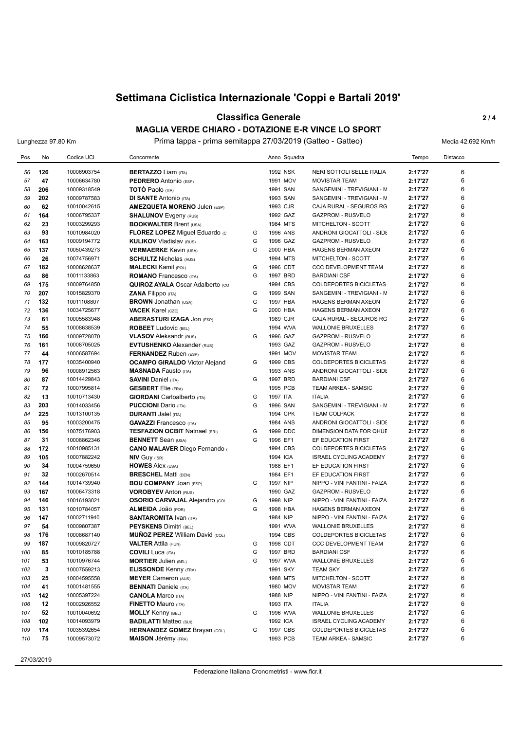## **Classifica Generale 2 / 4 MAGLIA VERDE CHIARO - DOTAZIONE E-R VINCE LO SPORT**

Lunghezza 97.80 Km **Prima tappa - prima semitappa 27/03/2019 (Gatteo - Gatteo)** Media 42.692 Km/h

| Pos      | No         | Codice UCI                 | Concorrente                                                 |        | Anno Squadra         |                                                            | Tempo              | Distacco |
|----------|------------|----------------------------|-------------------------------------------------------------|--------|----------------------|------------------------------------------------------------|--------------------|----------|
|          | 126        |                            |                                                             |        | 1992 NSK             |                                                            |                    | 6        |
| 56<br>57 | 47         | 10006903754<br>10006634780 | <b>BERTAZZO Liam (ITA)</b><br><b>PEDRERO</b> Antonio (ESP)  |        | 1991 MOV             | NERI SOTTOLI SELLE ITALIA<br><b>MOVISTAR TEAM</b>          | 2:17'27<br>2:17'27 | 6        |
| 58       | 206        | 10009318549                | <b>TOTO Paolo</b> (ITA)                                     |        | 1991 SAN             | SANGEMINI - TREVIGIANI - M                                 | 2:17'27            | 6        |
| 59       | 202        | 10009787583                | <b>DI SANTE Antonio (ITA)</b>                               |        | 1993 SAN             | SANGEMINI - TREVIGIANI - M                                 | 2:17'27            | 6        |
| 60       | 62         | 10010042615                | <b>AMEZQUETA MORENO Julen (ESP)</b>                         |        | 1993 CJR             | CAJA RURAL - SEGUROS RG                                    | 2:17'27            | 6        |
| 61       | 164        | 10006795337                | <b>SHALUNOV</b> Evgeny (RUS)                                |        | 1992 GAZ             | <b>GAZPROM - RUSVELO</b>                                   | 2:17'27            | 6        |
| 62       | 23         | 10003299293                | <b>BOOKWALTER Brent (USA)</b>                               |        | 1984 MTS             | MITCHELTON - SCOTT                                         | 2:17'27            | 6        |
| 63       | 93         | 10010984020                | FLOREZ LOPEZ Miguel Eduardo (c                              | G      | 1996 ANS             | ANDRONI GIOCATTOLI - SIDE                                  | 2:17'27            | 6        |
| 64       | 163        | 10009194772                | <b>KULIKOV Vladislav (RUS)</b>                              | G      | 1996 GAZ             | <b>GAZPROM - RUSVELO</b>                                   | 2:17'27            | 6        |
| 65       | 137        | 10050439273                | <b>VERMAERKE Kevin (USA)</b>                                | G      | 2000 HBA             | HAGENS BERMAN AXEON                                        | 2:17'27            | 6        |
| 66       | 26         | 10074756971                | <b>SCHULTZ Nicholas (AUS)</b>                               |        | 1994 MTS             | MITCHELTON - SCOTT                                         | 2:17'27            | 6        |
| 67       | 182        | 10008628637                | <b>MALECKI</b> Kamil (POL)                                  | G      | 1996 CDT             | CCC DEVELOPMENT TEAM                                       | 2:17'27            | 6        |
| 68       | 86         | 10011133863                | <b>ROMANO</b> Francesco (ITA)                               | G      | 1997 BRD             | <b>BARDIANI CSF</b>                                        | 2:17'27            | 6        |
| 69       | 175        | 10009764850                | <b>QUIROZ AYALA Oscar Adalberto (CO</b>                     |        | 1994 CBS             | <b>COLDEPORTES BICICLETAS</b>                              | 2:17'27            | 6        |
| 70       | 207        | 10015829370                | ZANA Filippo (ITA)                                          | G      | 1999 SAN             | SANGEMINI - TREVIGIANI - M                                 | 2:17'27            | 6        |
| 71       | 132        | 10011108807                | <b>BROWN</b> Jonathan (USA)                                 | G      | 1997 HBA             | <b>HAGENS BERMAN AXEON</b>                                 | 2:17'27            | 6        |
| 72       | 136        | 10034725677                | <b>VACEK Karel (CZE)</b>                                    | G      | 2000 HBA             | <b>HAGENS BERMAN AXEON</b>                                 | 2:17'27            | 6        |
| 73       | 61         | 10005583948                | <b>ABERASTURI IZAGA JON (ESP)</b>                           |        | 1989 CJR             | CAJA RURAL - SEGUROS RG                                    | 2:17'27            | 6        |
| 74       | 55         | 10008638539                | <b>ROBEET</b> Ludovic (BEL)                                 |        | 1994 WVA             | <b>WALLONIE BRUXELLES</b>                                  | 2:17'27            | 6        |
| 75       | 166        | 10009728070                | <b>VLASOV</b> Aleksandr (RUS)                               | G      | 1996 GAZ             | GAZPROM - RUSVELO                                          | 2:17'27            | 6        |
| 76       | 161        | 10008705025                | <b>EVTUSHENKO</b> Alexander (RUS)                           |        | 1993 GAZ             | <b>GAZPROM - RUSVELO</b>                                   | 2:17'27            | 6        |
| 77       | 44         | 10006587694                | <b>FERNANDEZ</b> Ruben (ESP)                                |        | 1991 MOV             | <b>MOVISTAR TEAM</b>                                       | 2:17'27            | 6        |
| 78       | 177        | 10035400940                | <b>OCAMPO GIRALDO</b> Victor Alejand                        | G      | 1999 CBS             | COLDEPORTES BICICLETAS                                     | 2:17'27            | 6        |
| 79       | 96         | 10008912563                | <b>MASNADA Fausto (ITA)</b>                                 |        | 1993 ANS             | ANDRONI GIOCATTOLI - SIDE                                  | 2:17'27            | 6        |
| 80       | 87         | 10014429843                | <b>SAVINI Daniel (ITA)</b>                                  | G      | 1997 BRD             | <b>BARDIANI CSF</b>                                        | 2:17'27            | 6        |
| 81       | 72         | 10007995814                | <b>GESBERT</b> Elie (FRA)                                   |        | 1995 PCB             | TEAM ARKEA - SAMSIC                                        | 2:17'27            | 6        |
| 82       | 13         | 10010713430                | <b>GIORDANI</b> Carloalberto (ITA)                          | G      | 1997 ITA             | <b>ITALIA</b>                                              | 2:17'27            | 6        |
| 83       | 203        | 10014033456                | <b>PUCCIONI</b> Dario (ITA)                                 | G      | 1996 SAN             | SANGEMINI - TREVIGIANI - M                                 | 2:17'27            | 6        |
| 84       | 225        | 10013100135                | <b>DURANTI JaleI (ITA)</b>                                  |        | 1994 CPK             | <b>TEAM COLPACK</b>                                        | 2:17'27            | 6        |
| 85       | 95         | 10003200475                | <b>GAVAZZI</b> Francesco (ITA)                              |        | 1984 ANS             | ANDRONI GIOCATTOLI - SIDE                                  | 2:17'27            | 6        |
| 86       | 156        | 10075176903                | <b>TESFAZION OCBIT Natnael (ERI)</b>                        | G      | 1999 DDC             | DIMENSION DATA FOR QHUE                                    | 2:17'27            | 6        |
| 87       | 31         | 10008862346                | <b>BENNETT</b> Sean (USA)                                   | G      | 1996 EF1             | EF EDUCATION FIRST                                         | 2:17'27            | 6        |
| 88       | 172        | 10010985131                | <b>CANO MALAVER Diego Fernando (</b>                        |        | 1994 CBS             | <b>COLDEPORTES BICICLETAS</b>                              | 2:17'27            | 6        |
| 89       | 105        | 10007882242                | <b>NIV GUY (ISR)</b>                                        |        | 1994 ICA             | <b>ISRAEL CYCLING ACADEMY</b>                              | 2:17'27            | 6        |
| 90       | 34         | 10004759650                | <b>HOWES Alex (USA)</b>                                     |        | 1988 EF1             | EF EDUCATION FIRST                                         | 2:17'27            | 6        |
| 91       | 32         | 10002670514                | <b>BRESCHEL Matti (DEN)</b>                                 |        | 1984 EF1             | EF EDUCATION FIRST                                         | 2:17'27            | 6        |
| 92       | 144        | 10014739940                | <b>BOU COMPANY JOAN (ESP)</b>                               | G      | 1997 NIP             | NIPPO - VINI FANTINI - FAIZA                               | 2:17'27            | 6<br>6   |
| 93       | 167<br>146 | 10006473318                | <b>VOROBYEV Anton (RUS)</b>                                 |        | 1990 GAZ             | GAZPROM - RUSVELO                                          | 2:17'27            | 6        |
| 94<br>95 | 131        | 10016193021<br>10010784057 | <b>OSORIO CARVAJAL Alejandro (COL</b><br>ALMEIDA JOão (POR) | G<br>G | 1998 NIP<br>1998 HBA | NIPPO - VINI FANTINI - FAIZA<br><b>HAGENS BERMAN AXEON</b> | 2:17'27<br>2:17'27 | 6        |
| 96       | 147        | 10002711940                | <b>SANTAROMITA IVAN (ITA)</b>                               |        | 1984 NIP             | NIPPO - VINI FANTINI - FAIZA                               |                    | 6        |
| 97       | 54         | 10009807387                | <b>PEYSKENS Dimitri (BEL)</b>                               |        | 1991 WVA             | <b>WALLONIE BRUXELLES</b>                                  | 2:17'27<br>2:17'27 | 6        |
| 98       | 176        | 10008687140                | <b>MUÑOZ PEREZ William David (COL)</b>                      |        | 1994 CBS             | <b>COLDEPORTES BICICLETAS</b>                              | 2:17'27            | 6        |
| 99       | 187        | 10009820727                | <b>VALTER Attila (HUN)</b>                                  | G      | 1998 CDT             | CCC DEVELOPMENT TEAM                                       | 2:17'27            | 6        |
| 100      | 85         | 10010185788                | <b>COVILI</b> Luca (ITA)                                    | G      | 1997 BRD             | <b>BARDIANI CSF</b>                                        | 2:17'27            | 6        |
| 101      | 53         | 10010976744                | <b>MORTIER Julien (BEL)</b>                                 | G      | 1997 WVA             | <b>WALLONIE BRUXELLES</b>                                  | 2:17'27            | 6        |
| 102      | 3          | 10007559213                | <b>ELISSONDE Kenny (FRA)</b>                                |        | 1991 SKY             | <b>TEAM SKY</b>                                            | 2:17'27            | 6        |
| 103      | 25         | 10004595558                | <b>MEYER Cameron (AUS)</b>                                  |        | 1988 MTS             | MITCHELTON - SCOTT                                         | 2:17'27            | 6        |
| 104      | 41         | 10001481555                | <b>BENNATI</b> Daniele (ITA)                                |        | 1980 MOV             | <b>MOVISTAR TEAM</b>                                       | 2:17'27            | 6        |
| 105      | 142        | 10005397224                | <b>CANOLA Marco (ITA)</b>                                   |        | 1988 NIP             | NIPPO - VINI FANTINI - FAIZA                               | 2:17'27            | 6        |
| 106      | 12         | 10002926552                | <b>FINETTO Mauro (ITA)</b>                                  |        | 1993 ITA             | <b>ITALIA</b>                                              | 2:17'27            | 6        |
| 107      | 52         | 10010040692                | <b>MOLLY Kenny (BEL)</b>                                    | G      | 1996 WVA             | <b>WALLONIE BRUXELLES</b>                                  | 2:17'27            | 6        |
| 108      | 102        | 10014093979                | <b>BADILATTI Matteo (SUI)</b>                               |        | 1992 ICA             | <b>ISRAEL CYCLING ACADEMY</b>                              | 2:17'27            | 6        |
| 109      | 174        | 10035392654                | <b>HERNANDEZ GOMEZ Brayan (COL)</b>                         | G      | 1997 CBS             | COLDEPORTES BICICLETAS                                     | 2:17'27            | 6        |
| 110      | 75         | 10009573072                | <b>MAISON Jérémy (FRA)</b>                                  |        | 1993 PCB             | TEAM ARKEA - SAMSIC                                        | 2:17'27            | 6        |
|          |            |                            |                                                             |        |                      |                                                            |                    |          |

27/03/2019

Federazione Italiana Cronometristi - www.ficr.it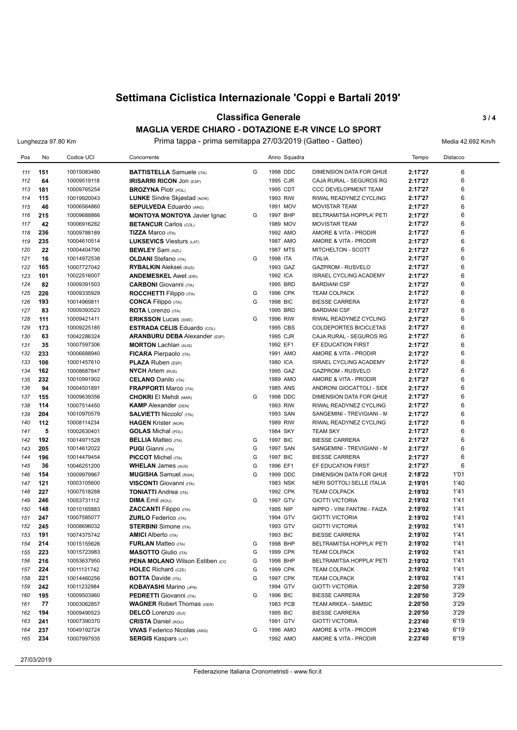## **Classifica Generale 3 / 4 MAGLIA VERDE CHIARO - DOTAZIONE E-R VINCE LO SPORT**

Lunghezza 97.80 Km **Prima tappa - prima semitappa 27/03/2019 (Gatteo - Gatteo)** Media 42.692 Km/h

| Pos        | No         | Codice UCI                 | Concorrente                                             |   | Anno Squadra         |                                                      | Tempo              | Distacco |
|------------|------------|----------------------------|---------------------------------------------------------|---|----------------------|------------------------------------------------------|--------------------|----------|
| 111        | 151        | 10015083480                | <b>BATTISTELLA</b> Samuele (ITA)                        | G | 1998 DDC             | DIMENSION DATA FOR QHUE                              | 2:17'27            | 6        |
| 112        | 64         | 10009519118                | <b>IRISARRI RICON JON (ESP)</b>                         |   | 1995 CJR             | CAJA RURAL - SEGUROS RG                              | 2:17'27            | 6        |
| 113        | 181        | 10009765254                | <b>BROZYNA Piotr (POL)</b>                              |   | 1995 CDT             | <b>CCC DEVELOPMENT TEAM</b>                          | 2:17'27            | 6        |
| 114        | 115        | 10019920043                | <b>LUNKE</b> Sindre Skjøstad (NOR)                      |   | 1993 RIW             | RIWAL READYNEZ CYCLING                               | 2:17'27            | 6        |
| 115        | 46         | 10006564860                | <b>SEPULVEDA Eduardo (ARG)</b>                          |   | 1991 MOV             | <b>MOVISTAR TEAM</b>                                 | 2:17'27            | 6        |
| 116        | 215        | 10009688866                | <b>MONTOYA MONTOYA Javier Ignac</b>                     | G | 1997 BHP             | BELTRAMITSA HOPPLA' PETI                             | 2:17'27            | 6        |
| 117        | 42         | 10006916282                | <b>BETANCUR Carlos (COL)</b>                            |   | 1989 MOV             | <b>MOVISTAR TEAM</b>                                 | 2:17'27            | 6        |
| 118        | 236        | 10009788189                | <b>TIZZA Marco (ITA)</b>                                |   | 1992 AMO             | AMORE & VITA - PRODIR                                | 2:17'27            | 6        |
| 119        | 235        | 10004610514                | <b>LUKSEVICS Viesturs (LAT)</b>                         |   | 1987 AMO             | AMORE & VITA - PRODIR                                | 2:17'27            | 6        |
| 120        | 22         | 10004404790                | <b>BEWLEY</b> Sam (NZL)                                 |   | 1987 MTS             | MITCHELTON - SCOTT                                   | 2:17'27            | 6        |
| 121        | 16         | 10014972538                | <b>OLDANI</b> Stefano (ITA)                             | G | 1998 ITA             | <b>ITALIA</b>                                        | 2:17'27            | 6        |
| 122        | 165        | 10007727042                | <b>RYBALKIN Aleksei (RUS)</b>                           |   | 1993 GAZ             | <b>GAZPROM - RUSVELO</b>                             | 2:17'27            | 6        |
| 123        | 101        | 10022516007                | <b>ANDEMESKEL Awet (ERI)</b>                            |   | 1992 ICA             | <b>ISRAEL CYCLING ACADEMY</b>                        | 2:17'27            | 6        |
| 124        | 82         | 10009391503                | <b>CARBONI</b> Giovanni (ITA)                           |   | 1995 BRD             | <b>BARDIANI CSF</b>                                  | 2:17'27            | 6        |
| 125        | 226        | 10009335929                | <b>ROCCHETTI Filippo</b> (ITA)                          | G | 1996 CPK             | <b>TEAM COLPACK</b>                                  | 2:17'27            | 6        |
| 126        | 193        | 10014969811                | <b>CONCA Filippo</b> (ITA)                              | G | 1998 BIC             | <b>BIESSE CARRERA</b>                                | 2:17'27            | 6        |
| 127        | 83         | 10009393523                | <b>ROTA Lorenzo (ITA)</b>                               |   | 1995 BRD             | <b>BARDIANI CSF</b>                                  | 2:17'27            | 6        |
| 128        | 111        | 10009421411                | <b>ERIKSSON Lucas (SWE)</b>                             | G | 1996 RIW             | RIWAL READYNEZ CYCLING                               | 2:17'27            | 6        |
| 129        | 173        | 10009225185                | <b>ESTRADA CELIS Eduardo (COL)</b>                      |   | 1995 CBS             | COLDEPORTES BICICLETAS                               | 2:17'27            | 6        |
| 130        | 63         | 10042286324                | <b>ARANBURU DEBA</b> Alexander (ESP)                    |   | 1995 CJR             | CAJA RURAL - SEGUROS RG                              | 2:17'27            | 6        |
| 131        | 35         | 10007597306                | <b>MORTON Lachlan (AUS)</b>                             |   | 1992 EF1             | EF EDUCATION FIRST                                   | 2:17'27            | 6        |
| 132        | 233        | 10006688940                | FICARA Pierpaolo (ITA)                                  |   | 1991 AMO             | AMORE & VITA - PRODIR                                | 2:17'27            | 6        |
| 133        | 106        | 10001457610                | <b>PLAZA Ruben (ESP)</b>                                |   | 1980 ICA             | <b>ISRAEL CYCLING ACADEMY</b>                        | 2:17'27            | 6        |
| 134        | 162        | 10008687847                | <b>NYCH Artem (RUS)</b>                                 |   | 1995 GAZ             | <b>GAZPROM - RUSVELO</b>                             | 2:17'27            | 6        |
| 135        | 232        | 10010991902                | <b>CELANO</b> Danilo (ITA)                              |   | 1989 AMO             | AMORE & VITA - PRODIR                                | 2:17'27            | 6        |
| 136        | 94         | 10004501891                | <b>FRAPPORTI Marco (ITA)</b>                            |   | 1985 ANS             | ANDRONI GIOCATTOLI - SIDE                            | 2:17'27            | 6        |
| 137        | 155        | 10009639356                | <b>CHOKRI</b> El Mehdi (MAR)                            | G | 1998 DDC             | DIMENSION DATA FOR QHUE                              | 2:17'27            | 6<br>6   |
| 138        | 114<br>204 | 10007514450<br>10010970579 | <b>KAMP</b> Alexander (DEN)                             |   | 1993 RIW<br>1993 SAN | RIWAL READYNEZ CYCLING                               | 2:17'27            | 6        |
| 139<br>140 |            | 10008114234                | <b>SALVIETTI Niccolo' (ITA)</b>                         |   | 1989 RIW             | SANGEMINI - TREVIGIANI - M<br>RIWAL READYNEZ CYCLING | 2:17'27            | 6        |
| 141        | 112<br>5   | 10002630401                | <b>HAGEN Krister (NOR)</b><br><b>GOLAS</b> Michal (POL) |   | 1984 SKY             | <b>TEAM SKY</b>                                      | 2:17'27<br>2:17'27 | 6        |
| 142        | 192        | 10014971528                | <b>BELLIA</b> Matteo (ITA)                              | G | 1997 BIC             | <b>BIESSE CARRERA</b>                                | 2:17'27            | 6        |
| 143        | 205        | 10014612022                | <b>PUGI Gianni</b> (ITA)                                | G | 1997 SAN             | SANGEMINI - TREVIGIANI - M                           | 2:17'27            | 6        |
| 144        | 196        | 10014479454                | <b>PICCOT</b> Michel (ITA)                              | G | 1997 BIC             | <b>BIESSE CARRERA</b>                                | 2:17'27            | 6        |
| 145        | 36         | 10046251200                | <b>WHELAN James (AUS)</b>                               | G | 1996 EF1             | EF EDUCATION FIRST                                   | 2:17'27            | 6        |
| 146        | 154        | 10009979967                | <b>MUGISHA</b> Samuel (RWA)                             | G | 1999 DDC             | DIMENSION DATA FOR QHUE                              | 2:18'22            | 1'01     |
| 147        | 121        | 10003105600                | <b>VISCONTI</b> Giovanni (ITA)                          |   | 1983 NSK             | NERI SOTTOLI SELLE ITALIA                            | 2:19'01            | 1'40     |
| 148        | 227        | 10007518288                | <b>TONIATTI Andrea</b> (ITA)                            |   | 1992 CPK             | <b>TEAM COLPACK</b>                                  | 2:19'02            | 1'41     |
| 149        | 246        | 10053731112                | <b>DIMA</b> Emil (ROU)                                  | G | 1997 GTV             | <b>GIOTTI VICTORIA</b>                               | 2:19'02            | 1'41     |
| 150        | 148        | 10010165883                | <b>ZACCANTI</b> Filippo (ITA)                           |   | 1995 NIP             | NIPPO - VINI FANTINI - FAIZA                         | 2:19'02            | 1'41     |
| 151        | 247        | 10007585077                | <b>ZURLO</b> Federico (ITA)                             |   | 1994 GTV             | <b>GIOTTI VICTORIA</b>                               | 2:19'02            | 1'41     |
| 152        | 245        | 10008696032                | <b>STERBINI</b> Simone (ITA)                            |   | 1993 GTV             | <b>GIOTTI VICTORIA</b>                               | 2:19'02            | 1'41     |
| 153        | 191        | 10074375742                | <b>AMICI</b> Alberto (ITA)                              |   | 1993 BIC             | <b>BIESSE CARRERA</b>                                | 2:19'02            | 1'41     |
| 154        | 214        | 10015155626                | <b>FURLAN</b> Matteo (ITA)                              | G | 1998 BHP             | BELTRAMITSA HOPPLA' PETI                             | 2:19'02            | 1'41     |
| 155        | 223        | 10015723983                | <b>MASOTTO</b> Giulio (ITA)                             | G | 1999 CPK             | <b>TEAM COLPACK</b>                                  | 2:19'02            | 1'41     |
| 156        | 216        | 10053637950                | <b>PENA MOLANO Wilson Estiben (CO)</b>                  | G | 1998 BHP             | BELTRAMITSA HOPPLA' PETI                             | 2:19'02            | 1'41     |
| 157        | 224        | 10011131742                | <b>HOLEC</b> Richard (CZE)                              | G | 1999 CPK             | <b>TEAM COLPACK</b>                                  | 2:19'02            | 1'41     |
| 158        | 221        | 10014460256                | <b>BOTTA Davide (ITA)</b>                               | G | 1997 CPK             | <b>TEAM COLPACK</b>                                  | 2:19'02            | 1'41     |
| 159        | 242        | 10011232984                | <b>KOBAYASHI Marino (JPN)</b>                           |   | 1994 GTV             | <b>GIOTTI VICTORIA</b>                               | 2:20'50            | 3'29     |
| 160        | 195        | 10009503960                | <b>PEDRETTI</b> Giovanni (ITA)                          | G | 1996 BIC             | <b>BIESSE CARRERA</b>                                | 2:20'50            | 3'29     |
| 161        | 77         | 10003062857                | <b>WAGNER Robert Thomas (GER)</b>                       |   | 1983 PCB             | TEAM ARKEA - SAMSIC                                  | 2:20'50            | 3'29     |
| 162        | 194        | 10009490523                | <b>DELCÓ Lorenzo (SUI)</b>                              |   | 1995 BIC             | <b>BIESSE CARRERA</b>                                | 2:20'50            | 3'29     |
| 163        | 241        | 10007390370                | <b>CRISTA Daniel (ROU)</b>                              |   | 1991 GTV             | <b>GIOTTI VICTORIA</b>                               | 2:23'40            | 6'19     |
| 164        | 237        | 10049192724                | <b>VIVAS</b> Federico Nicolas (ARG)                     | G | 1996 AMO             | AMORE & VITA - PRODIR                                | 2:23'40            | 6'19     |
| 165        | 234        | 10007997935                | <b>SERGIS Kaspars (LAT)</b>                             |   | 1992 AMO             | AMORE & VITA - PRODIR                                | 2:23'40            | 6'19     |

27/03/2019

Federazione Italiana Cronometristi - www.ficr.it